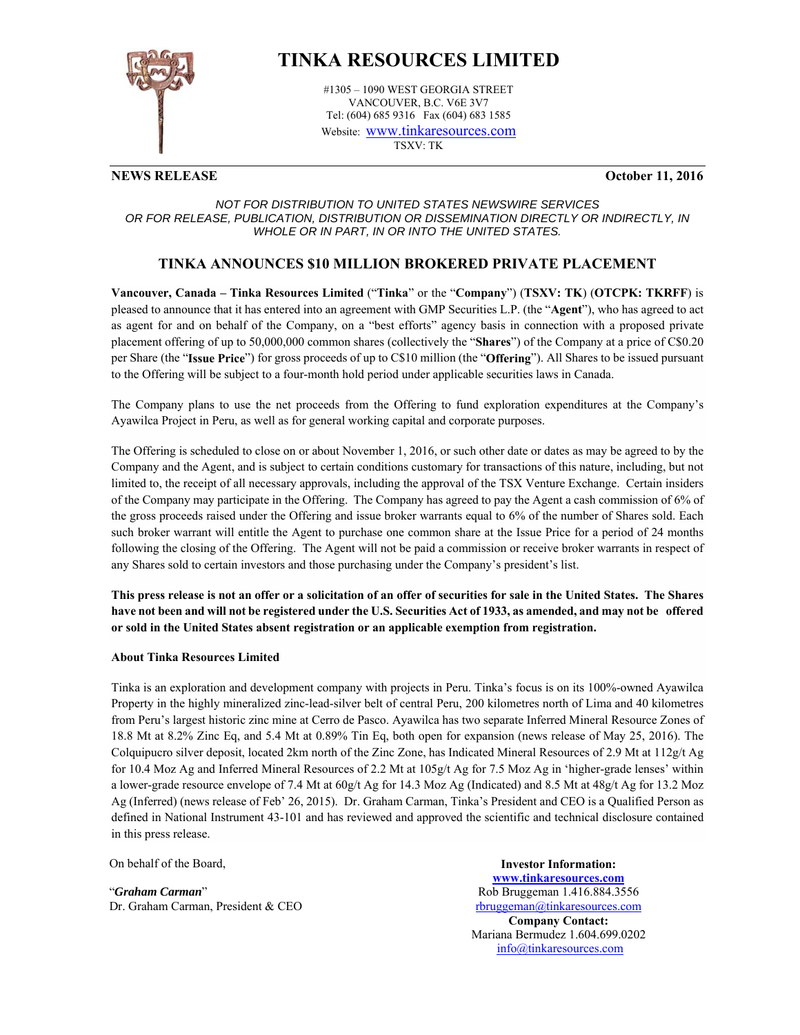

# **TINKA RESOURCES LIMITED**

#1305 – 1090 WEST GEORGIA STREET VANCOUVER, B.C. V6E 3V7 Tel: (604) 685 9316 Fax (604) 683 1585 Website: www.tinkaresources.com TSXV: TK

## **NEWS RELEASE October 11, 2016**

### *NOT FOR DISTRIBUTION TO UNITED STATES NEWSWIRE SERVICES OR FOR RELEASE, PUBLICATION, DISTRIBUTION OR DISSEMINATION DIRECTLY OR INDIRECTLY, IN WHOLE OR IN PART, IN OR INTO THE UNITED STATES.*

## **TINKA ANNOUNCES \$10 MILLION BROKERED PRIVATE PLACEMENT**

**Vancouver, Canada – Tinka Resources Limited** ("**Tinka**" or the "**Company**") (**TSXV: TK**) (**OTCPK: TKRFF**) is pleased to announce that it has entered into an agreement with GMP Securities L.P. (the "**Agent**"), who has agreed to act as agent for and on behalf of the Company, on a "best efforts" agency basis in connection with a proposed private placement offering of up to 50,000,000 common shares (collectively the "**Shares**") of the Company at a price of C\$0.20 per Share (the "**Issue Price**") for gross proceeds of up to C\$10 million (the "**Offering**"). All Shares to be issued pursuant to the Offering will be subject to a four-month hold period under applicable securities laws in Canada.

The Company plans to use the net proceeds from the Offering to fund exploration expenditures at the Company's Ayawilca Project in Peru, as well as for general working capital and corporate purposes.

The Offering is scheduled to close on or about November 1, 2016, or such other date or dates as may be agreed to by the Company and the Agent, and is subject to certain conditions customary for transactions of this nature, including, but not limited to, the receipt of all necessary approvals, including the approval of the TSX Venture Exchange. Certain insiders of the Company may participate in the Offering. The Company has agreed to pay the Agent a cash commission of 6% of the gross proceeds raised under the Offering and issue broker warrants equal to 6% of the number of Shares sold. Each such broker warrant will entitle the Agent to purchase one common share at the Issue Price for a period of 24 months following the closing of the Offering. The Agent will not be paid a commission or receive broker warrants in respect of any Shares sold to certain investors and those purchasing under the Company's president's list.

**This press release is not an offer or a solicitation of an offer of securities for sale in the United States. The Shares have not been and will not be registered under the U.S. Securities Act of 1933, as amended, and may not be offered or sold in the United States absent registration or an applicable exemption from registration.**

### **About Tinka Resources Limited**

Tinka is an exploration and development company with projects in Peru. Tinka's focus is on its 100%-owned Ayawilca Property in the highly mineralized zinc-lead-silver belt of central Peru, 200 kilometres north of Lima and 40 kilometres from Peru's largest historic zinc mine at Cerro de Pasco. Ayawilca has two separate Inferred Mineral Resource Zones of 18.8 Mt at 8.2% Zinc Eq, and 5.4 Mt at 0.89% Tin Eq, both open for expansion (news release of May 25, 2016). The Colquipucro silver deposit, located 2km north of the Zinc Zone, has Indicated Mineral Resources of 2.9 Mt at 112g/t Ag for 10.4 Moz Ag and Inferred Mineral Resources of 2.2 Mt at 105g/t Ag for 7.5 Moz Ag in 'higher-grade lenses' within a lower-grade resource envelope of 7.4 Mt at 60g/t Ag for 14.3 Moz Ag (Indicated) and 8.5 Mt at 48g/t Ag for 13.2 Moz Ag (Inferred) (news release of Feb' 26, 2015). Dr. Graham Carman, Tinka's President and CEO is a Qualified Person as defined in National Instrument 43-101 and has reviewed and approved the scientific and technical disclosure contained in this press release.

On behalf of the Board,

"*Graham Carman*" Dr. Graham Carman, President & CEO

**Investor Information: www.tinkaresources.com** Rob Bruggeman 1.416.884.3556 rbruggeman@tinkaresources.com **Company Contact:** Mariana Bermudez 1.604.699.0202 info@tinkaresources.com